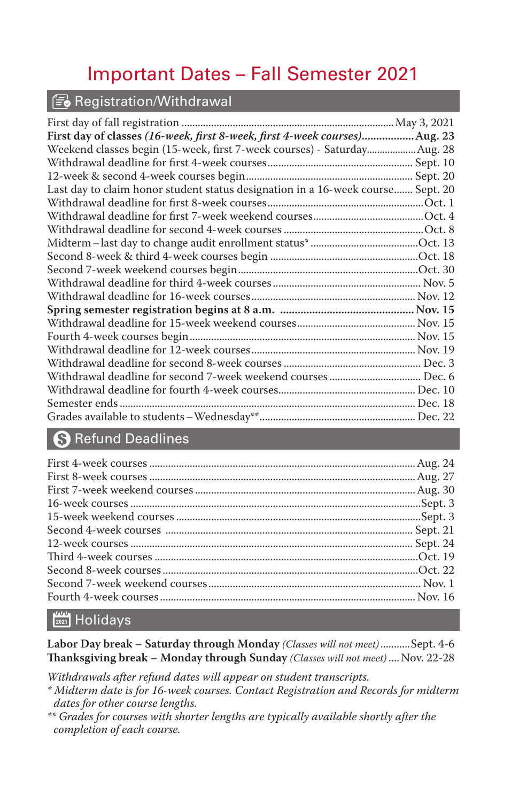## Important Dates – Fall Semester 2021

#### $\sqrt{\epsilon}$  Registration/Withdrawal

| First day of classes (16-week, first 8-week, first 4-week courses) Aug. 23      |  |
|---------------------------------------------------------------------------------|--|
| Weekend classes begin (15-week, first 7-week courses) - SaturdayAug. 28         |  |
|                                                                                 |  |
|                                                                                 |  |
| Last day to claim honor student status designation in a 16-week course Sept. 20 |  |
|                                                                                 |  |
|                                                                                 |  |
|                                                                                 |  |
|                                                                                 |  |
|                                                                                 |  |
|                                                                                 |  |
|                                                                                 |  |
|                                                                                 |  |
|                                                                                 |  |
|                                                                                 |  |
|                                                                                 |  |
|                                                                                 |  |
|                                                                                 |  |
|                                                                                 |  |
|                                                                                 |  |
|                                                                                 |  |
|                                                                                 |  |

### **S** Refund Deadlines

## **Holidays**

**Labor Day break – Saturday through Monday** *(Classes will not meet)*...........Sept. 4-6 **Thanksgiving break – Monday through Sunday** *(Classes will not meet)* ....Nov. 22-28

*Withdrawals after refund dates will appear on student transcripts.*

- *\* Midterm date is for 16-week courses. Contact Registration and Records for midterm dates for other course lengths.*
- *\*\* Grades for courses with shorter lengths are typically available shortly after the completion of each course.*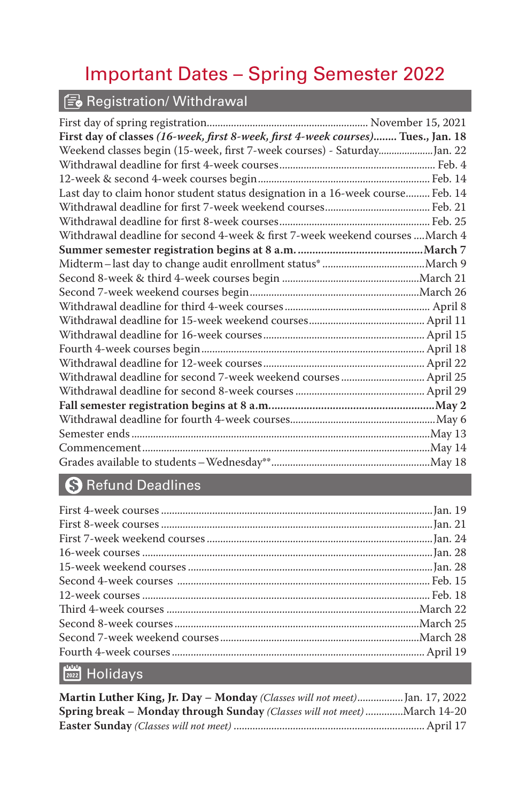# Important Dates – Spring Semester 2022

# Registration/ Withdrawal

| First day of classes (16-week, first 8-week, first 4-week courses) Tues., Jan. 18 |
|-----------------------------------------------------------------------------------|
| Weekend classes begin (15-week, first 7-week courses) - Saturday Jan. 22          |
|                                                                                   |
|                                                                                   |
| Last day to claim honor student status designation in a 16-week course Feb. 14    |
|                                                                                   |
|                                                                                   |
| Withdrawal deadline for second 4-week & first 7-week weekend courses  March 4     |
|                                                                                   |
|                                                                                   |
|                                                                                   |
|                                                                                   |
|                                                                                   |
|                                                                                   |
|                                                                                   |
|                                                                                   |
|                                                                                   |
| Withdrawal deadline for second 7-week weekend courses April 25                    |
|                                                                                   |
|                                                                                   |
|                                                                                   |
|                                                                                   |
|                                                                                   |
|                                                                                   |

## **B** Refund Deadlines

# **Holidays**

| Martin Luther King, Jr. Day – Monday (Classes will not meet) Jan. 17, 2022 |  |
|----------------------------------------------------------------------------|--|
| Spring break – Monday through Sunday (Classes will not meet)March 14-20    |  |
|                                                                            |  |